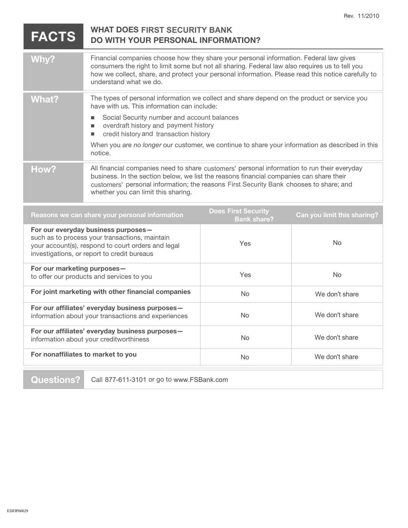| <b>FACTS</b>                                                                                                                                                                               | <b>WHAT DOES FIRST SECURITY BANK</b><br><b>DO WITH YOUR PERSONAL INFORMATION?</b>                                                                                                                                                                                                                                                                                                                                 |                                                  |                             |
|--------------------------------------------------------------------------------------------------------------------------------------------------------------------------------------------|-------------------------------------------------------------------------------------------------------------------------------------------------------------------------------------------------------------------------------------------------------------------------------------------------------------------------------------------------------------------------------------------------------------------|--------------------------------------------------|-----------------------------|
| Why?                                                                                                                                                                                       | Financial companies choose how they share your personal information. Federal law gives<br>consumers the right to limit some but not all sharing. Federal law also requires us to tell you<br>how we collect, share, and protect your personal information. Please read this notice carefully to<br>understand what we do.                                                                                         |                                                  |                             |
| <b>What?</b>                                                                                                                                                                               | The types of personal information we collect and share depend on the product or service you<br>have with us. This information can include:<br>Social Security number and account balances<br>overdraft history and payment history<br>п<br>credit history and transaction history<br>$\blacksquare$<br>When you are no longer our customer, we continue to share your information as described in this<br>notice. |                                                  |                             |
| How?                                                                                                                                                                                       | All financial companies need to share customers' personal information to run their everyday<br>business. In the section below, we list the reasons financial companies can share their<br>customers' personal information; the reasons First Security Bank chooses to share; and<br>whether you can limit this sharing.                                                                                           |                                                  |                             |
| Reasons we can share your personal information                                                                                                                                             |                                                                                                                                                                                                                                                                                                                                                                                                                   | <b>Does First Security</b><br><b>Bank share?</b> | Can you limit this sharing? |
| For our everyday business purposes-<br>such as to process your transactions, maintain<br>your account(s), respond to court orders and legal<br>investigations, or report to credit bureaus |                                                                                                                                                                                                                                                                                                                                                                                                                   | Yes                                              | <b>No</b>                   |
| For our marketing purposes-<br>to offer our products and services to you                                                                                                                   |                                                                                                                                                                                                                                                                                                                                                                                                                   | Yes                                              | <b>No</b>                   |
| For joint marketing with other financial companies                                                                                                                                         |                                                                                                                                                                                                                                                                                                                                                                                                                   | <b>No</b>                                        | We don't share              |
| For our affiliates' everyday business purposes-<br>information about your transactions and experiences                                                                                     |                                                                                                                                                                                                                                                                                                                                                                                                                   | No                                               | We don't share              |
| For our affiliates' everyday business purposes-<br>information about your creditworthiness                                                                                                 |                                                                                                                                                                                                                                                                                                                                                                                                                   | <b>No</b>                                        | We don't share              |
| For nonaffiliates to market to you                                                                                                                                                         |                                                                                                                                                                                                                                                                                                                                                                                                                   | No                                               | We don't share              |

**Questions?** Call 877-611-3101 or go to www.FSBank.com